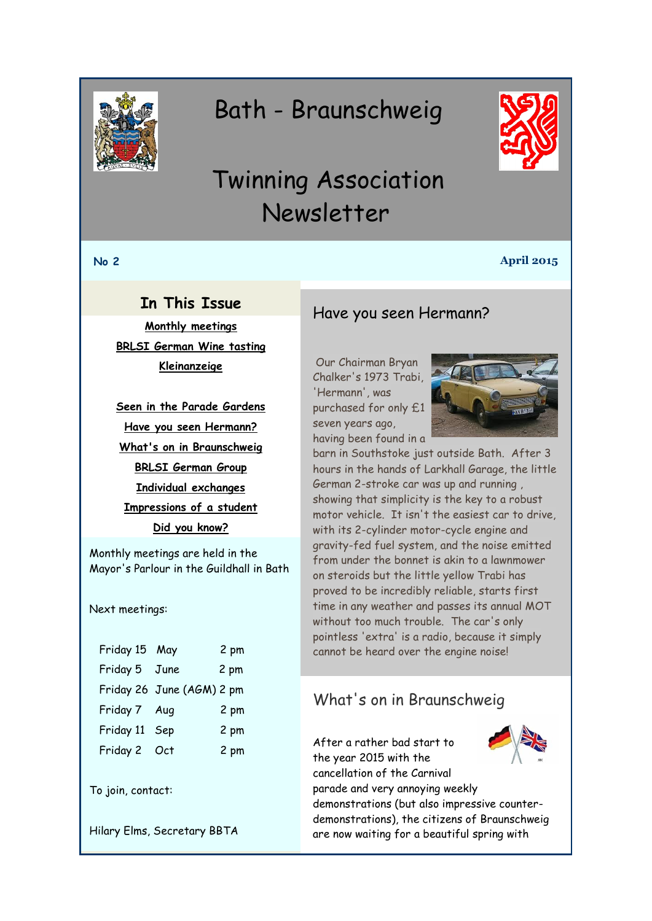<span id="page-0-0"></span>

# Bath - Braunschweig



# Twinning Association Newsletter

#### **No 2 April 2015**

## **In This Issue**

**[Monthly meetings](#page-0-0) [BRLSI German Wine tasting](#page-1-0) [Kleinanzeige](#page-1-0)**

**[Seen in the Parade Gardens](#page-2-0) [Have you seen Hermann?](#page-0-1) [What's on in Braunschweig](#page-0-0) [BRLSI German Group](#page-1-0) [Individual exchanges](#page-2-1) [Impressions of a student](#page-2-2) [Did you know?](#page-3-0)**

Monthly meetings are held in the Mayor's Parlour in the Guildhall in Bath

Next meetings:

| Friday 15 May             | 2 pm |
|---------------------------|------|
| Friday 5 June             | 2 pm |
| Friday 26 June (AGM) 2 pm |      |
| Friday 7 Aug              | 2 pm |
| Sep                       | 2 pm |
| Friday 2 Oct              | 2 pm |
|                           |      |

To join, contact:

Hilary Elms, Secretary BBTA

### <span id="page-0-1"></span>Have you seen Hermann?

Our Chairman Bryan Chalker's 1973 Trabi, 'Hermann', was purchased for only £1 seven years ago, having been found in a



barn in Southstoke just outside Bath. After 3 hours in the hands of Larkhall Garage, the little German 2-stroke car was up and running , showing that simplicity is the key to a robust motor vehicle. It isn't the easiest car to drive, with its 2-cylinder motor-cycle engine and gravity-fed fuel system, and the noise emitted from under the bonnet is akin to a lawnmower on steroids but the little yellow Trabi has proved to be incredibly reliable, starts first time in any weather and passes its annual MOT without too much trouble. The car's only pointless 'extra' is a radio, because it simply cannot be heard over the engine noise!

## What's on in Braunschweig

After a rather bad start to the year 2015 with the cancellation of the Carnival parade and very annoying weekly demonstrations (but also impressive counterdemonstrations), the citizens of Braunschweig are now waiting for a beautiful spring with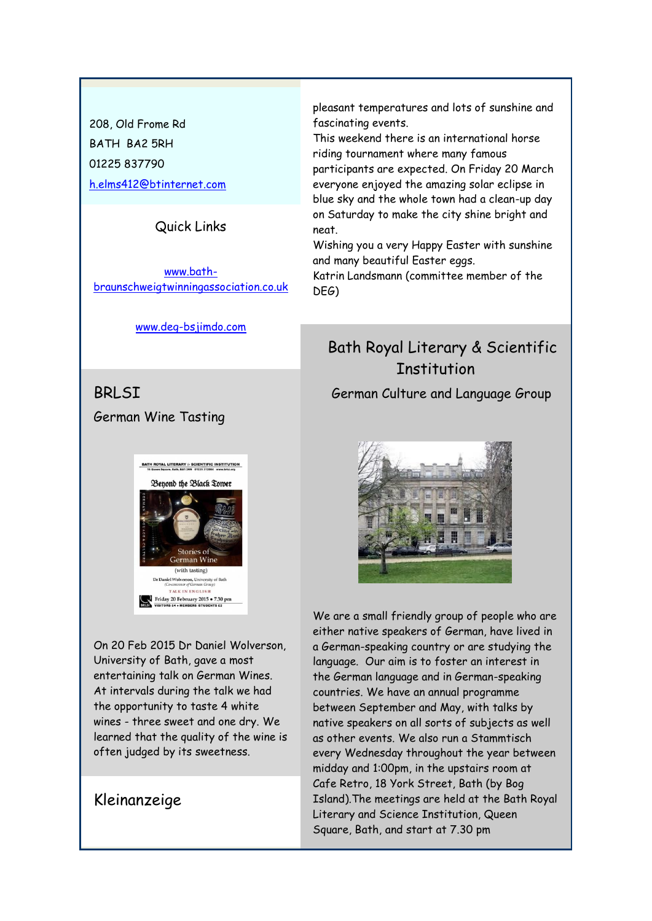<span id="page-1-0"></span>208, Old Frome Rd BATH BA2 5RH 01225 837790 [h.elms412@btinternet.com](mailto:h.elms412@btinternet.com)

#### Quick Links

[www.bath](http://www.bath-braunschweigtwinningassociation.co.uk/)[braunschweigtwinningassociation.co.uk](http://www.bath-braunschweigtwinningassociation.co.uk/)

[www.deg-bsjimdo.com](http://www.deg-bsjimdo.com/)

BRLSI German Wine Tasting

> **BATH ROYAL LITERARY & SCIENTIFIC INSTITUTION** Beyond the Black Tower Stories of **German Wine** (with tasting) **son, University**<br>of German Group TALK IN ENGLISH ay 20 February 2015 • 7.30 pr

On 20 Feb 2015 Dr Daniel Wolverson, University of Bath, gave a most entertaining talk on German Wines. At intervals during the talk we had the opportunity to taste 4 white wines - three sweet and one dry. We learned that the quality of the wine is often judged by its sweetness.

### Kleinanzeige

pleasant temperatures and lots of sunshine and fascinating events.

This weekend there is an international horse riding tournament where many famous participants are expected. On Friday 20 March everyone enjoyed the amazing solar eclipse in blue sky and the whole town had a clean-up day on Saturday to make the city shine bright and neat.

Wishing you a very Happy Easter with sunshine and many beautiful Easter eggs.

Katrin Landsmann (committee member of the DEG)

## Bath Royal Literary & Scientific Institution

German Culture and Language Group



We are a small friendly group of people who are either native speakers of German, have lived in a German-speaking country or are studying the language. Our aim is to foster an interest in the German language and in German-speaking countries. We have an annual programme between September and May, with talks by native speakers on all sorts of subjects as well as other events. We also run a Stammtisch every Wednesday throughout the year between midday and 1:00pm, in the upstairs room at Cafe Retro, 18 York Street, Bath (by Bog Island).The meetings are held at the Bath Royal Literary and Science Institution, Queen Square, Bath, and start at 7.30 pm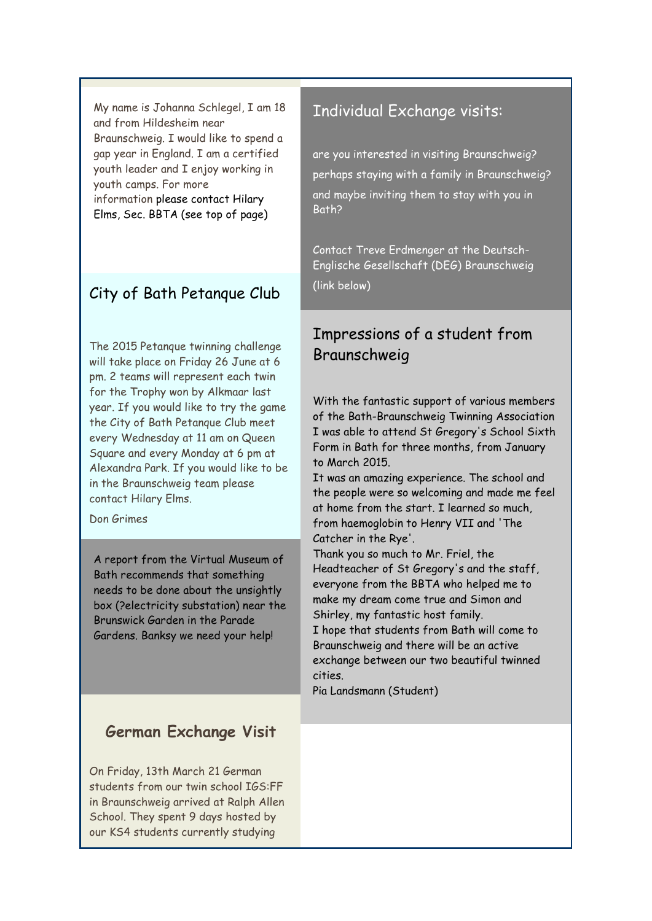<span id="page-2-0"></span>My name is Johanna Schlegel, I am 18 and from Hildesheim near Braunschweig. I would like to spend a gap year in England. I am a certified youth leader and I enjoy working in youth camps. For more information please contact Hilary Elms, Sec. BBTA (see top of page)

## City of Bath Petanque Club

The 2015 Petanque twinning challenge will take place on Friday 26 June at 6 pm. 2 teams will represent each twin for the Trophy won by Alkmaar last year. If you would like to try the game the City of Bath Petanque Club meet every Wednesday at 11 am on Queen Square and every Monday at 6 pm at Alexandra Park. If you would like to be in the Braunschweig team please contact Hilary Elms.

Don Grimes

A report from the Virtual Museum of Bath recommends that something needs to be done about the unsightly box (?electricity substation) near the Brunswick Garden in the Parade Gardens. Banksy we need your help!

## **German Exchange Visit**

On Friday, 13th March 21 German students from our twin school IGS:FF in Braunschweig arrived at Ralph Allen School. They spent 9 days hosted by our KS4 students currently studying

## <span id="page-2-1"></span>Individual Exchange visits:

are you interested in visiting Braunschweig? perhaps staying with a family in Braunschweig? and maybe inviting them to stay with you in Bath?

Contact Treve Erdmenger at the Deutsch-Englische Gesellschaft (DEG) Braunschweig (link below)

# <span id="page-2-2"></span>Impressions of a student from Braunschweig

With the fantastic support of various members of the Bath-Braunschweig Twinning Association I was able to attend St Gregory's School Sixth Form in Bath for three months, from January to March 2015.

It was an amazing experience. The school and the people were so welcoming and made me feel at home from the start. I learned so much, from haemoglobin to Henry VII and 'The Catcher in the Rye'.

Thank you so much to Mr. Friel, the Headteacher of St Gregory's and the staff, everyone from the BBTA who helped me to make my dream come true and Simon and Shirley, my fantastic host family.

I hope that students from Bath will come to Braunschweig and there will be an active exchange between our two beautiful twinned cities.

Pia Landsmann (Student)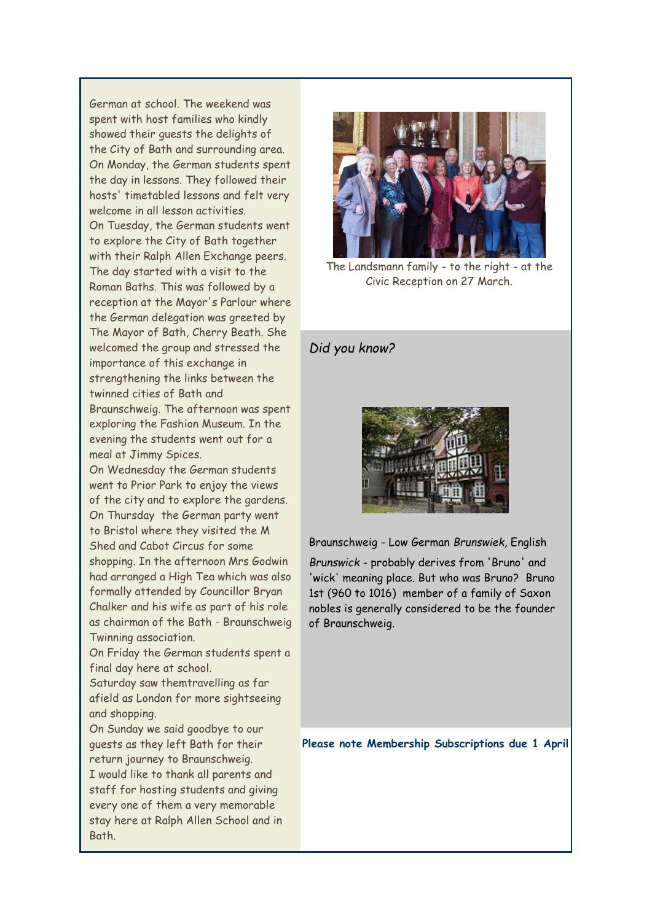<span id="page-3-0"></span>German at school. The weekend was spent with host families who kindly showed their guests the delights of the City of Bath and surrounding area. On Monday, the German students spent the day in lessons. They followed their hosts' timetabled lessons and felt very welcome in all lesson activities. On Tuesday, the German students went to explore the City of Bath together with their Ralph Allen Exchange peers. The day started with a visit to the Roman Baths. This was followed by a reception at the Mayor's Parlour where the German delegation was greeted by The Mayor of Bath, Cherry Beath. She welcomed the group and stressed the importance of this exchange in strengthening the links between the twinned cities of Bath and Braunschweig. The afternoon was spent exploring the Fashion Museum. In the evening the students went out for a

meal at Jimmy Spices. On Wednesday the German students went to Prior Park to enjoy the views of the city and to explore the gardens. On Thursday the German party went to Bristol where they visited the M Shed and Cabot Circus for some shopping. In the afternoon Mrs Godwin had arranged a High Tea which was also formally attended by Councillor Bryan Chalker and his wife as part of his role as chairman of the Bath - Braunschweig Twinning association.

On Friday the German students spent a final day here at school.

Saturday saw themtravelling as far afield as London for more sightseeing and shopping.

On Sunday we said goodbye to our guests as they left Bath for their return journey to Braunschweig. I would like to thank all parents and staff for hosting students and giving every one of them a very memorable stay here at Ralph Allen School and in Bath.



The Landsmann family - to the right - at the Civic Reception on 27 March.

#### *Did you know?*



Braunschweig - Low German *Brunswiek,* English

*Brunswick* - probably derives from 'Bruno' and 'wick' meaning place. But who was Bruno? Bruno 1st (960 to 1016) member of a family of Saxon nobles is generally considered to be the founder of Braunschweig.

**Please note Membership Subscriptions due 1 April**